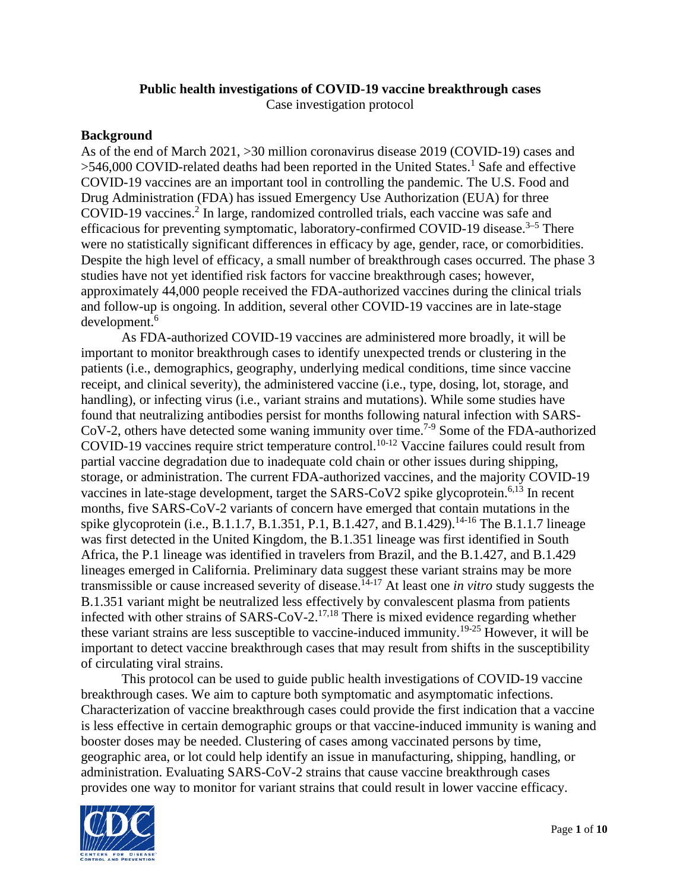## **Public health investigations of COVID-19 vaccine breakthrough cases**

Case investigation protocol

#### **Background**

As of the end of March 2021, >30 million coronavirus disease 2019 (COVID-19) cases and >546,000 COVID-related deaths had been reported in the United States.<sup>1</sup> Safe and effective COVID-19 vaccines are an important tool in controlling the pandemic. The U.S. Food and Drug Administration (FDA) has issued Emergency Use Authorization (EUA) for three COVID-19 vaccines.<sup>2</sup> In large, randomized controlled trials, each vaccine was safe and efficacious for preventing symptomatic, laboratory-confirmed COVID-19 disease.<sup>3-5</sup> There were no statistically significant differences in efficacy by age, gender, race, or comorbidities. Despite the high level of efficacy, a small number of breakthrough cases occurred. The phase 3 studies have not yet identified risk factors for vaccine breakthrough cases; however, approximately 44,000 people received the FDA-authorized vaccines during the clinical trials and follow-up is ongoing. In addition, several other COVID-19 vaccines are in late-stage development.<sup>6</sup>

As FDA-authorized COVID-19 vaccines are administered more broadly, it will be important to monitor breakthrough cases to identify unexpected trends or clustering in the patients (i.e., demographics, geography, underlying medical conditions, time since vaccine receipt, and clinical severity), the administered vaccine (i.e., type, dosing, lot, storage, and handling), or infecting virus (i.e., variant strains and mutations). While some studies have found that neutralizing antibodies persist for months following natural infection with SARS-CoV-2, others have detected some waning immunity over time.7-9 Some of the FDA-authorized COVID-19 vaccines require strict temperature control.<sup>10-12</sup> Vaccine failures could result from partial vaccine degradation due to inadequate cold chain or other issues during shipping, storage, or administration. The current FDA-authorized vaccines, and the majority COVID-19 vaccines in late-stage development, target the  $SARS-CoV2$  spike glycoprotein.<sup>6,13</sup> In recent months, five SARS-CoV-2 variants of concern have emerged that contain mutations in the spike glycoprotein (i.e., B.1.1.7, B.1.351, P.1, B.1.427, and B.1.429).<sup>14-16</sup> The B.1.1.7 lineage was first detected in the United Kingdom, the B.1.351 lineage was first identified in South Africa, the P.1 lineage was identified in travelers from Brazil, and the B.1.427, and B.1.429 lineages emerged in California. Preliminary data suggest these variant strains may be more transmissible or cause increased severity of disease.14-17 At least one *in vitro* study suggests the B.1.351 variant might be neutralized less effectively by convalescent plasma from patients infected with other strains of SARS-CoV-2.17,18 There is mixed evidence regarding whether these variant strains are less susceptible to vaccine-induced immunity.19-25 However, it will be important to detect vaccine breakthrough cases that may result from shifts in the susceptibility of circulating viral strains.

This protocol can be used to guide public health investigations of COVID-19 vaccine breakthrough cases. We aim to capture both symptomatic and asymptomatic infections. Characterization of vaccine breakthrough cases could provide the first indication that a vaccine is less effective in certain demographic groups or that vaccine-induced immunity is waning and booster doses may be needed. Clustering of cases among vaccinated persons by time, geographic area, or lot could help identify an issue in manufacturing, shipping, handling, or administration. Evaluating SARS-CoV-2 strains that cause vaccine breakthrough cases provides one way to monitor for variant strains that could result in lower vaccine efficacy.

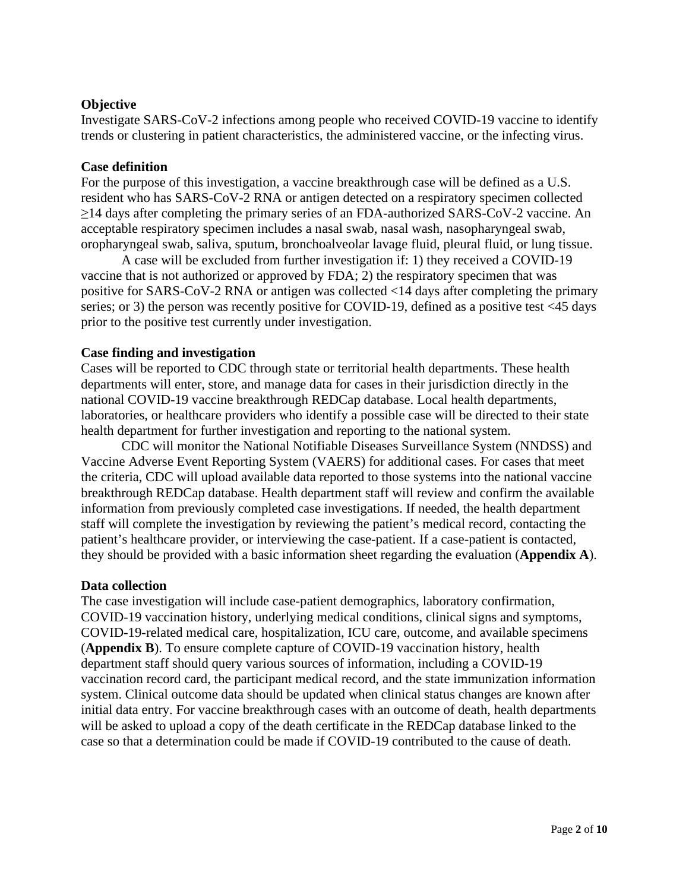### **Objective**

Investigate SARS-CoV-2 infections among people who received COVID-19 vaccine to identify trends or clustering in patient characteristics, the administered vaccine, or the infecting virus.

#### **Case definition**

For the purpose of this investigation, a vaccine breakthrough case will be defined as a U.S. resident who has SARS-CoV-2 RNA or antigen detected on a respiratory specimen collected ≥14 days after completing the primary series of an FDA-authorized SARS-CoV-2 vaccine. An acceptable respiratory specimen includes a nasal swab, nasal wash, nasopharyngeal swab, oropharyngeal swab, saliva, sputum, bronchoalveolar lavage fluid, pleural fluid, or lung tissue.

A case will be excluded from further investigation if: 1) they received a COVID-19 vaccine that is not authorized or approved by FDA; 2) the respiratory specimen that was positive for SARS-CoV-2 RNA or antigen was collected <14 days after completing the primary series; or 3) the person was recently positive for COVID-19, defined as a positive test <45 days prior to the positive test currently under investigation.

#### **Case finding and investigation**

Cases will be reported to CDC through state or territorial health departments. These health departments will enter, store, and manage data for cases in their jurisdiction directly in the national COVID-19 vaccine breakthrough REDCap database. Local health departments, laboratories, or healthcare providers who identify a possible case will be directed to their state health department for further investigation and reporting to the national system.

CDC will monitor the National Notifiable Diseases Surveillance System (NNDSS) and Vaccine Adverse Event Reporting System (VAERS) for additional cases. For cases that meet the criteria, CDC will upload available data reported to those systems into the national vaccine breakthrough REDCap database. Health department staff will review and confirm the available information from previously completed case investigations. If needed, the health department staff will complete the investigation by reviewing the patient's medical record, contacting the patient's healthcare provider, or interviewing the case-patient. If a case-patient is contacted, they should be provided with a basic information sheet regarding the evaluation (**Appendix A**).

#### **Data collection**

The case investigation will include case-patient demographics, laboratory confirmation, COVID-19 vaccination history, underlying medical conditions, clinical signs and symptoms, COVID-19-related medical care, hospitalization, ICU care, outcome, and available specimens (**Appendix B**). To ensure complete capture of COVID-19 vaccination history, health department staff should query various sources of information, including a COVID-19 vaccination record card, the participant medical record, and the state immunization information system. Clinical outcome data should be updated when clinical status changes are known after initial data entry. For vaccine breakthrough cases with an outcome of death, health departments will be asked to upload a copy of the death certificate in the REDCap database linked to the case so that a determination could be made if COVID-19 contributed to the cause of death.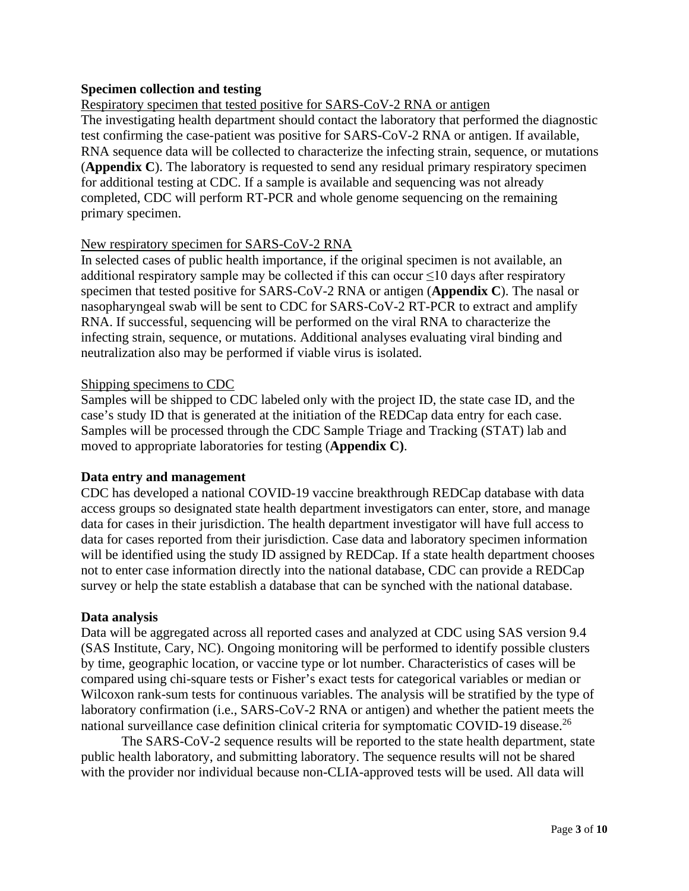## **Specimen collection and testing**

Respiratory specimen that tested positive for SARS-CoV-2 RNA or antigen The investigating health department should contact the laboratory that performed the diagnostic test confirming the case-patient was positive for SARS-CoV-2 RNA or antigen. If available, RNA sequence data will be collected to characterize the infecting strain, sequence, or mutations (**Appendix C**). The laboratory is requested to send any residual primary respiratory specimen for additional testing at CDC. If a sample is available and sequencing was not already completed, CDC will perform RT-PCR and whole genome sequencing on the remaining primary specimen.

### New respiratory specimen for SARS-CoV-2 RNA

In selected cases of public health importance, if the original specimen is not available, an additional respiratory sample may be collected if this can occur  $\leq 10$  days after respiratory specimen that tested positive for SARS-CoV-2 RNA or antigen (**Appendix C**). The nasal or nasopharyngeal swab will be sent to CDC for SARS-CoV-2 RT-PCR to extract and amplify RNA. If successful, sequencing will be performed on the viral RNA to characterize the infecting strain, sequence, or mutations. Additional analyses evaluating viral binding and neutralization also may be performed if viable virus is isolated.

## Shipping specimens to CDC

Samples will be shipped to CDC labeled only with the project ID, the state case ID, and the case's study ID that is generated at the initiation of the REDCap data entry for each case. Samples will be processed through the CDC Sample Triage and Tracking (STAT) lab and moved to appropriate laboratories for testing (**Appendix C)**.

### **Data entry and management**

CDC has developed a national COVID-19 vaccine breakthrough REDCap database with data access groups so designated state health department investigators can enter, store, and manage data for cases in their jurisdiction. The health department investigator will have full access to data for cases reported from their jurisdiction. Case data and laboratory specimen information will be identified using the study ID assigned by REDCap. If a state health department chooses not to enter case information directly into the national database, CDC can provide a REDCap survey or help the state establish a database that can be synched with the national database.

### **Data analysis**

Data will be aggregated across all reported cases and analyzed at CDC using SAS version 9.4 (SAS Institute, Cary, NC). Ongoing monitoring will be performed to identify possible clusters by time, geographic location, or vaccine type or lot number. Characteristics of cases will be compared using chi-square tests or Fisher's exact tests for categorical variables or median or Wilcoxon rank-sum tests for continuous variables. The analysis will be stratified by the type of laboratory confirmation (i.e., SARS-CoV-2 RNA or antigen) and whether the patient meets the national surveillance case definition clinical criteria for symptomatic COVID-19 disease.<sup>26</sup>

The SARS-CoV-2 sequence results will be reported to the state health department, state public health laboratory, and submitting laboratory. The sequence results will not be shared with the provider nor individual because non-CLIA-approved tests will be used. All data will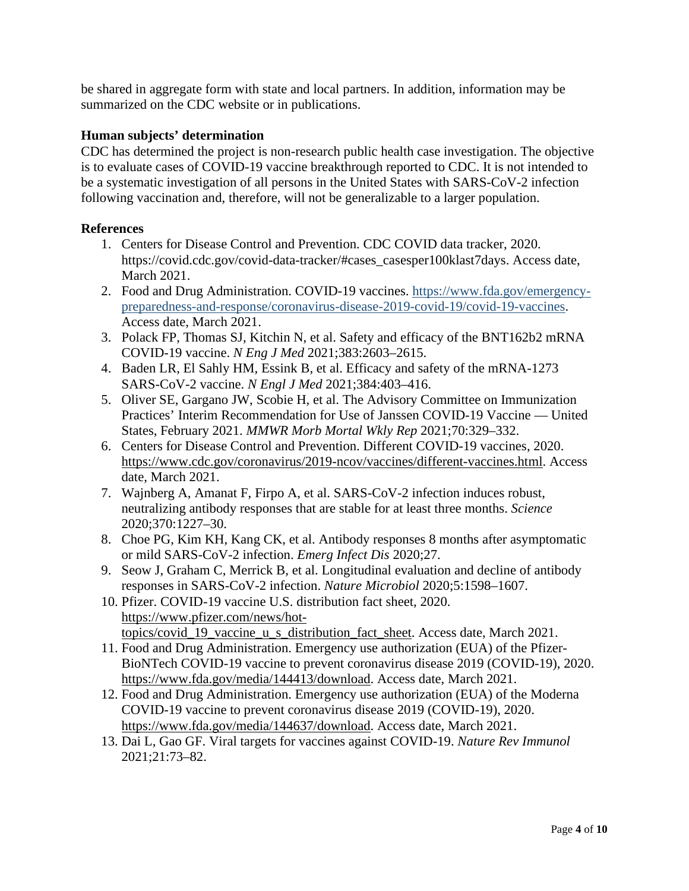be shared in aggregate form with state and local partners. In addition, information may be summarized on the CDC website or in publications.

## **Human subjects' determination**

CDC has determined the project is non-research public health case investigation. The objective is to evaluate cases of COVID-19 vaccine breakthrough reported to CDC. It is not intended to be a systematic investigation of all persons in the United States with SARS-CoV-2 infection following vaccination and, therefore, will not be generalizable to a larger population.

### **References**

- 1. Centers for Disease Control and Prevention. CDC COVID data tracker, 2020. https://covid.cdc.gov/covid-data-tracker/#cases\_casesper100klast7days. Access date, March 2021.
- 2. Food and Drug Administration. COVID-19 vaccines. [https://www.fda.gov/emergency](https://www.fda.gov/emergency-preparedness-and-response/coronavirus-disease-2019-covid-19/covid-19-vaccines)[preparedness-and-response/coronavirus-disease-2019-covid-19/covid-19-vaccines.](https://www.fda.gov/emergency-preparedness-and-response/coronavirus-disease-2019-covid-19/covid-19-vaccines) Access date, March 2021.
- 3. Polack FP, Thomas SJ, Kitchin N, et al. Safety and efficacy of the BNT162b2 mRNA COVID-19 vaccine. *N Eng J Med* 2021;383:2603–2615.
- 4. Baden LR, El Sahly HM, Essink B, et al. Efficacy and safety of the mRNA-1273 SARS-CoV-2 vaccine. *N Engl J Med* 2021;384:403–416.
- 5. Oliver SE, Gargano JW, Scobie H, et al. The Advisory Committee on Immunization Practices' Interim Recommendation for Use of Janssen COVID-19 Vaccine — United States, February 2021. *MMWR Morb Mortal Wkly Rep* 2021;70:329–332.
- 6. Centers for Disease Control and Prevention. Different COVID-19 vaccines, 2020. [https://www.cdc.gov/coronavirus/2019-ncov/vaccines/different-vaccines.html.](https://www.cdc.gov/coronavirus/2019-ncov/vaccines/different-vaccines.html) Access date, March 2021.
- 7. Wajnberg A, Amanat F, Firpo A, et al. SARS-CoV-2 infection induces robust, neutralizing antibody responses that are stable for at least three months. *Science* 2020;370:1227–30.
- 8. Choe PG, Kim KH, Kang CK, et al. Antibody responses 8 months after asymptomatic or mild SARS-CoV-2 infection. *Emerg Infect Dis* 2020;27.
- 9. Seow J, Graham C, Merrick B, et al. Longitudinal evaluation and decline of antibody responses in SARS-CoV-2 infection. *Nature Microbiol* 2020;5:1598–1607.
- 10. Pfizer. COVID-19 vaccine U.S. distribution fact sheet, 2020. [https://www.pfizer.com/news/hot](https://www.pfizer.com/news/hot-topics/covid_19_vaccine_u_s_distribution_fact_sheet)topics/covid 19 vaccine u s distribution fact sheet. Access date, March 2021.
- 11. Food and Drug Administration. Emergency use authorization (EUA) of the Pfizer-BioNTech COVID-19 vaccine to prevent coronavirus disease 2019 (COVID-19), 2020. [https://www.fda.gov/media/144413/download.](https://www.fda.gov/media/144413/download) Access date, March 2021.
- 12. Food and Drug Administration. Emergency use authorization (EUA) of the Moderna COVID-19 vaccine to prevent coronavirus disease 2019 (COVID-19), 2020. [https://www.fda.gov/media/144637/download.](https://www.fda.gov/media/144637/download) Access date, March 2021.
- 13. Dai L, Gao GF. Viral targets for vaccines against COVID-19. *Nature Rev Immunol* 2021;21:73–82.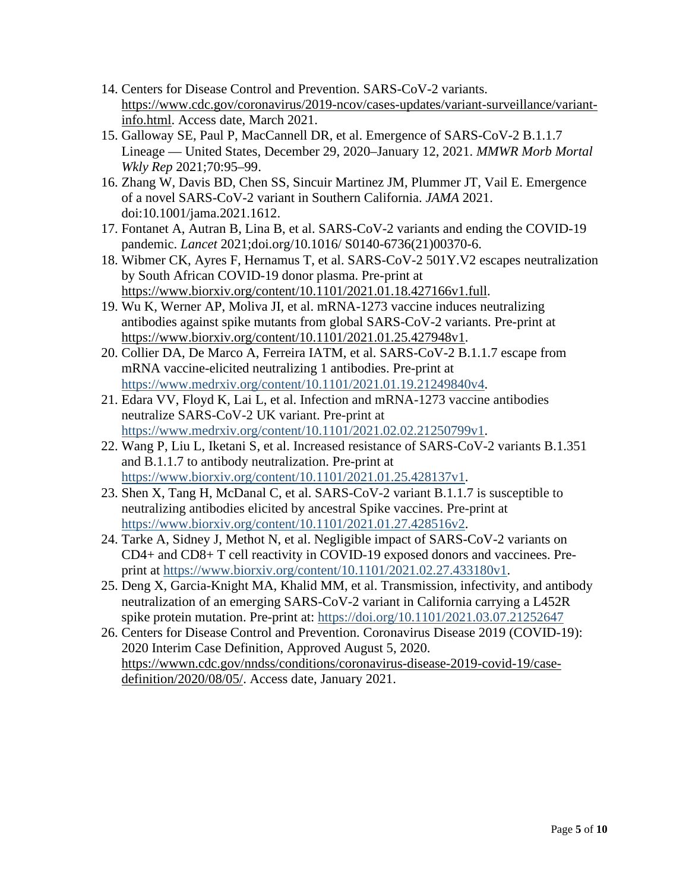- 14. Centers for Disease Control and Prevention. SARS-CoV-2 variants. [https://www.cdc.gov/coronavirus/2019-ncov/cases-updates/variant-surveillance/variant](https://www.cdc.gov/coronavirus/2019-ncov/cases-updates/variant-surveillance/variant-info.html)[info.html.](https://www.cdc.gov/coronavirus/2019-ncov/cases-updates/variant-surveillance/variant-info.html) Access date, March 2021.
- 15. Galloway SE, Paul P, MacCannell DR, et al. Emergence of SARS-CoV-2 B.1.1.7 Lineage — United States, December 29, 2020–January 12, 2021. *MMWR Morb Mortal Wkly Rep* 2021;70:95–99.
- 16. Zhang W, Davis BD, Chen SS, Sincuir Martinez JM, Plummer JT, Vail E. Emergence of a novel SARS-CoV-2 variant in Southern California. *JAMA* 2021. doi:10.1001/jama.2021.1612.
- 17. Fontanet A, Autran B, Lina B, et al. SARS-CoV-2 variants and ending the COVID-19 pandemic. *Lancet* 2021;doi.org/10.1016/ S0140-6736(21)00370-6.
- 18. Wibmer CK, Ayres F, Hernamus T, et al. SARS-CoV-2 501Y.V2 escapes neutralization by South African COVID-19 donor plasma. Pre-print at [https://www.biorxiv.org/content/10.1101/2021.01.18.427166v1.full.](https://www.biorxiv.org/content/10.1101/2021.01.18.427166v1.full)
- 19. Wu K, Werner AP, Moliva JI, et al. mRNA-1273 vaccine induces neutralizing antibodies against spike mutants from global SARS-CoV-2 variants. Pre-print at [https://www.biorxiv.org/content/10.1101/2021.01.25.427948v1.](https://www.biorxiv.org/content/10.1101/2021.01.25.427948v1)
- 20. Collier DA, De Marco A, Ferreira IATM, et al. SARS-CoV-2 B.1.1.7 escape from mRNA vaccine-elicited neutralizing 1 antibodies. Pre-print at [https://www.medrxiv.org/content/10.1101/2021.01.19.21249840v4.](https://www.medrxiv.org/content/10.1101/2021.01.19.21249840v4)
- 21. Edara VV, Floyd K, Lai L, et al. Infection and mRNA-1273 vaccine antibodies neutralize SARS-CoV-2 UK variant. Pre-print at [https://www.medrxiv.org/content/10.1101/2021.02.02.21250799v1.](https://www.medrxiv.org/content/10.1101/2021.02.02.21250799v1)
- 22. Wang P, Liu L, Iketani S, et al. Increased resistance of SARS-CoV-2 variants B.1.351 and B.1.1.7 to antibody neutralization. Pre-print at [https://www.biorxiv.org/content/10.1101/2021.01.25.428137v1.](https://www.biorxiv.org/content/10.1101/2021.01.25.428137v1)
- 23. Shen X, Tang H, McDanal C, et al. SARS-CoV-2 variant B.1.1.7 is susceptible to neutralizing antibodies elicited by ancestral Spike vaccines. Pre-print at [https://www.biorxiv.org/content/10.1101/2021.01.27.428516v2.](https://www.biorxiv.org/content/10.1101/2021.01.27.428516v2)
- 24. Tarke A, Sidney J, Methot N, et al. Negligible impact of SARS-CoV-2 variants on CD4+ and CD8+ T cell reactivity in COVID-19 exposed donors and vaccinees. Preprint at [https://www.biorxiv.org/content/10.1101/2021.02.27.433180v1.](https://www.biorxiv.org/content/10.1101/2021.02.27.433180v1)
- 25. Deng X, Garcia-Knight MA, Khalid MM, et al. Transmission, infectivity, and antibody neutralization of an emerging SARS-CoV-2 variant in California carrying a L452R spike protein mutation. Pre-print at:<https://doi.org/10.1101/2021.03.07.21252647>
- 26. Centers for Disease Control and Prevention. Coronavirus Disease 2019 (COVID-19): 2020 Interim Case Definition, Approved August 5, 2020. [https://wwwn.cdc.gov/nndss/conditions/coronavirus-disease-2019-covid-19/case](https://wwwn.cdc.gov/nndss/conditions/coronavirus-disease-2019-covid-19/case-definition/2020/08/05/)[definition/2020/08/05/.](https://wwwn.cdc.gov/nndss/conditions/coronavirus-disease-2019-covid-19/case-definition/2020/08/05/) Access date, January 2021.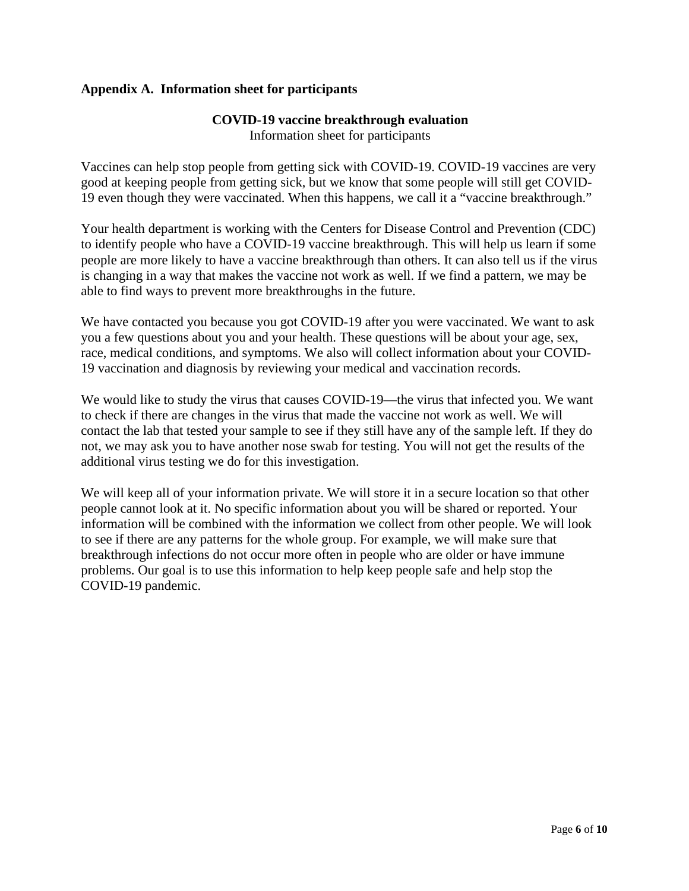## **Appendix A. Information sheet for participants**

# **COVID-19 vaccine breakthrough evaluation**

Information sheet for participants

Vaccines can help stop people from getting sick with COVID-19. COVID-19 vaccines are very good at keeping people from getting sick, but we know that some people will still get COVID-19 even though they were vaccinated. When this happens, we call it a "vaccine breakthrough."

Your health department is working with the Centers for Disease Control and Prevention (CDC) to identify people who have a COVID-19 vaccine breakthrough. This will help us learn if some people are more likely to have a vaccine breakthrough than others. It can also tell us if the virus is changing in a way that makes the vaccine not work as well. If we find a pattern, we may be able to find ways to prevent more breakthroughs in the future.

We have contacted you because you got COVID-19 after you were vaccinated. We want to ask you a few questions about you and your health. These questions will be about your age, sex, race, medical conditions, and symptoms. We also will collect information about your COVID-19 vaccination and diagnosis by reviewing your medical and vaccination records.

We would like to study the virus that causes COVID-19—the virus that infected you. We want to check if there are changes in the virus that made the vaccine not work as well. We will contact the lab that tested your sample to see if they still have any of the sample left. If they do not, we may ask you to have another nose swab for testing. You will not get the results of the additional virus testing we do for this investigation.

We will keep all of your information private. We will store it in a secure location so that other people cannot look at it. No specific information about you will be shared or reported. Your information will be combined with the information we collect from other people. We will look to see if there are any patterns for the whole group. For example, we will make sure that breakthrough infections do not occur more often in people who are older or have immune problems. Our goal is to use this information to help keep people safe and help stop the COVID-19 pandemic.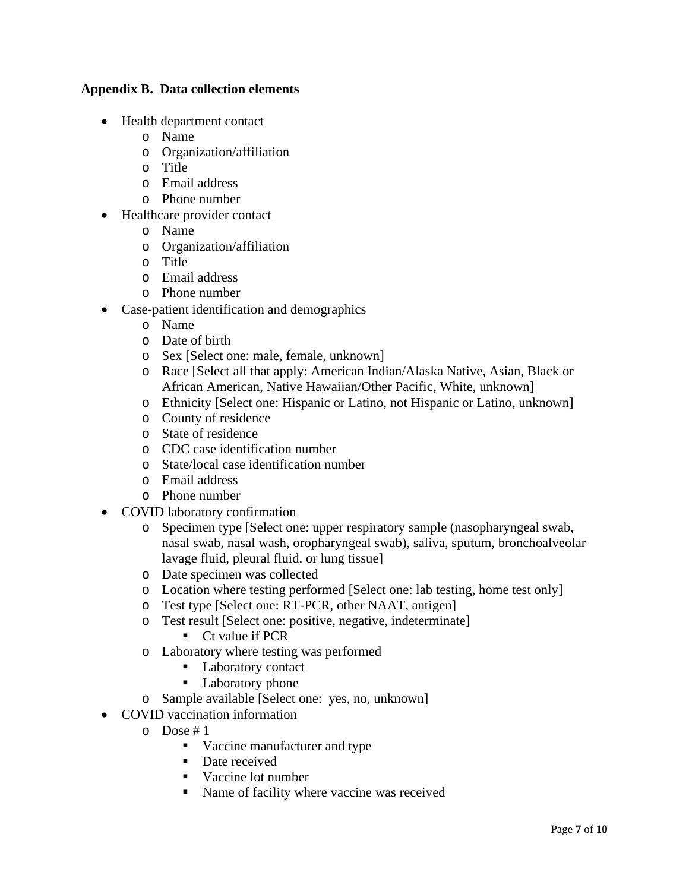## **Appendix B. Data collection elements**

- Health department contact
	- o Name
	- o Organization/affiliation
	- o Title
	- o Email address
	- o Phone number
- Healthcare provider contact
	- o Name
	- o Organization/affiliation
	- o Title
	- o Email address
	- o Phone number
- Case-patient identification and demographics
	- o Name
	- o Date of birth
	- o Sex [Select one: male, female, unknown]
	- o Race [Select all that apply: American Indian/Alaska Native, Asian, Black or African American, Native Hawaiian/Other Pacific, White, unknown]
	- o Ethnicity [Select one: Hispanic or Latino, not Hispanic or Latino, unknown]
	- o County of residence
	- o State of residence
	- o CDC case identification number
	- o State/local case identification number
	- o Email address
	- o Phone number
- COVID laboratory confirmation
	- o Specimen type [Select one: upper respiratory sample (nasopharyngeal swab, nasal swab, nasal wash, oropharyngeal swab), saliva, sputum, bronchoalveolar lavage fluid, pleural fluid, or lung tissue]
	- o Date specimen was collected
	- o Location where testing performed [Select one: lab testing, home test only]
	- o Test type [Select one: RT-PCR, other NAAT, antigen]
	- o Test result [Select one: positive, negative, indeterminate]
		- Ct value if PCR
	- o Laboratory where testing was performed
		- Laboratory contact
		- Laboratory phone
	- o Sample available [Select one: yes, no, unknown]
- COVID vaccination information
	- o Dose # 1
		- Vaccine manufacturer and type
		- Date received
		- Vaccine lot number
		- Name of facility where vaccine was received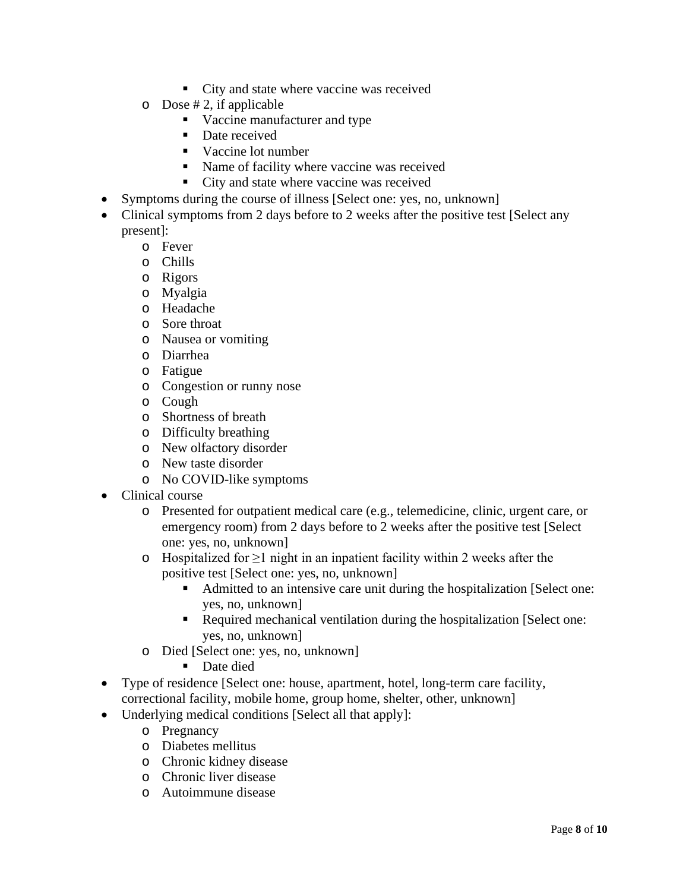- City and state where vaccine was received
- $\circ$  Dose # 2, if applicable
	- Vaccine manufacturer and type
	- Date received
	- Vaccine lot number
	- Name of facility where vaccine was received
	- City and state where vaccine was received
- Symptoms during the course of illness [Select one: yes, no, unknown]
- Clinical symptoms from 2 days before to 2 weeks after the positive test [Select any present]:
	- o Fever
	- o Chills
	- o Rigors
	- o Myalgia
	- o Headache
	- o Sore throat
	- o Nausea or vomiting
	- o Diarrhea
	- o Fatigue
	- o Congestion or runny nose
	- o Cough
	- o Shortness of breath
	- o Difficulty breathing
	- o New olfactory disorder
	- o New taste disorder
	- o No COVID-like symptoms
- Clinical course
	- o Presented for outpatient medical care (e.g., telemedicine, clinic, urgent care, or emergency room) from 2 days before to 2 weeks after the positive test [Select one: yes, no, unknown]
	- o Hospitalized for ≥1 night in an inpatient facility within 2 weeks after the positive test [Select one: yes, no, unknown]
		- Admitted to an intensive care unit during the hospitalization [Select one: yes, no, unknown]
		- Required mechanical ventilation during the hospitalization [Select one: yes, no, unknown]
	- o Died [Select one: yes, no, unknown]
		- Date died
- Type of residence [Select one: house, apartment, hotel, long-term care facility, correctional facility, mobile home, group home, shelter, other, unknown]
- Underlying medical conditions [Select all that apply]:
	- o Pregnancy
	- o Diabetes mellitus
	- o Chronic kidney disease
	- o Chronic liver disease
	- o Autoimmune disease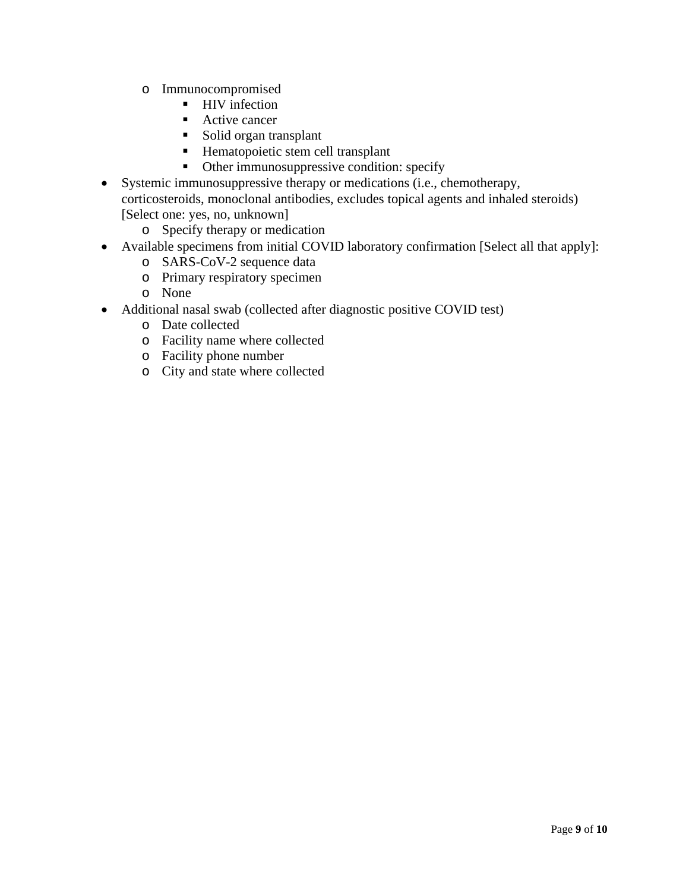- o Immunocompromised
	- HIV infection
	- Active cancer
	- Solid organ transplant
	- Hematopoietic stem cell transplant
	- Other immunosuppressive condition: specify
- Systemic immunosuppressive therapy or medications (i.e., chemotherapy, corticosteroids, monoclonal antibodies, excludes topical agents and inhaled steroids) [Select one: yes, no, unknown]
	- o Specify therapy or medication
- Available specimens from initial COVID laboratory confirmation [Select all that apply]:
	- o SARS-CoV-2 sequence data
	- o Primary respiratory specimen
	- o None
- Additional nasal swab (collected after diagnostic positive COVID test)
	- o Date collected
	- o Facility name where collected
	- o Facility phone number
	- o City and state where collected